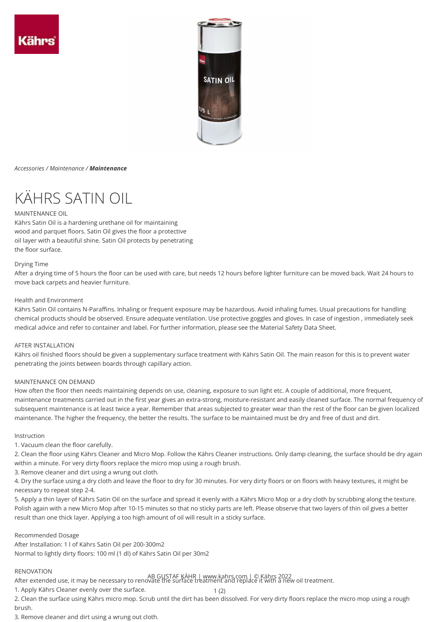

## *Accessories / Maintenance / Maintenance*

# KÄHRS SATIN OIL

## MAINTENANCE OIL

Kährs Satin Oil is a hardening urethane oil for maintaining wood and parquet floors. Satin Oil gives the floor a protective oil layer with a beautiful shine. Satin Oil protects by penetrating the floor surface.

## Drying Time

After a drying time of 5 hours the floor can be used with care, but needs 12 hours before lighter furniture can be moved back. Wait 24 hours to move back carpets and heavier furniture.

## Health and Environment

Kährs Satin Oil contains N-Paraffins. Inhaling or frequent exposure may be hazardous. Avoid inhaling fumes. Usual precautions for handling chemical products should be observed. Ensure adequate ventilation. Use protective goggles and gloves. In case of ingestion , immediately seek medical advice and refer to container and label. For further information, please see the Material Safety Data Sheet.

## AFTER INSTALLATION

Kährs oil finished floors should be given a supplementary surface treatment with Kährs Satin Oil. The main reason for this is to prevent water penetrating the joints between boards through capillary action.

# MAINTENANCE ON DEMAND

How often the floor then needs maintaining depends on use, cleaning, exposure to sun light etc. A couple of additional, more frequent, maintenance treatments carried out in the first year gives an extra-strong, moisture-resistant and easily cleaned surface. The normal frequency of subsequent maintenance is at least twice a year. Remember that areas subjected to greater wear than the rest of the floor can be given localized maintenance. The higher the frequency, the better the results. The surface to be maintained must be dry and free of dust and dirt.

## Instruction

1. Vacuum clean the floor carefully.

2. Clean the floor using Kährs Cleaner and Micro Mop. Follow the Kährs Cleaner instructions. Only damp cleaning, the surface should be dry again within a minute. For very dirty floors replace the micro mop using a rough brush.

3. Remove cleaner and dirt using a wrung out cloth.

4. Dry the surface using a dry cloth and leave the floor to dry for 30 minutes. For very dirty floors or on floors with heavy textures, it might be necessary to repeat step 2-4.

5. Apply a thin layer of Kährs Satin Oil on the surface and spread it evenly with a Kährs Micro Mop or a dry cloth by scrubbing along the texture. Polish again with a new Micro Mop after 10-15 minutes so that no sticky parts are left. Please observe that two layers of thin oil gives a better result than one thick layer. Applying a too high amount of oil will result in a sticky surface.

## Recommended Dosage

After Installation: 1 l of Kährs Satin Oil per 200-300m2 Normal to lightly dirty floors: 100 ml (1 dl) of Kährs Satin Oil per 30m2

# RENOVATION

AB GUSTAF KÄHR | www.kahrs.com | © Kährs 2022<br>After extended use, it may be necessary to renovate the surface treatment and replace it with a new oil treatment.

1. Apply Kährs Cleaner evenly over the surface.

2. Clean the surface using Kährs micro mop. Scrub until the dirt has been dissolved. For very dirty floors replace the micro mop using a rough brush.

1(2)

3. Remove cleaner and dirt using a wrung out cloth.